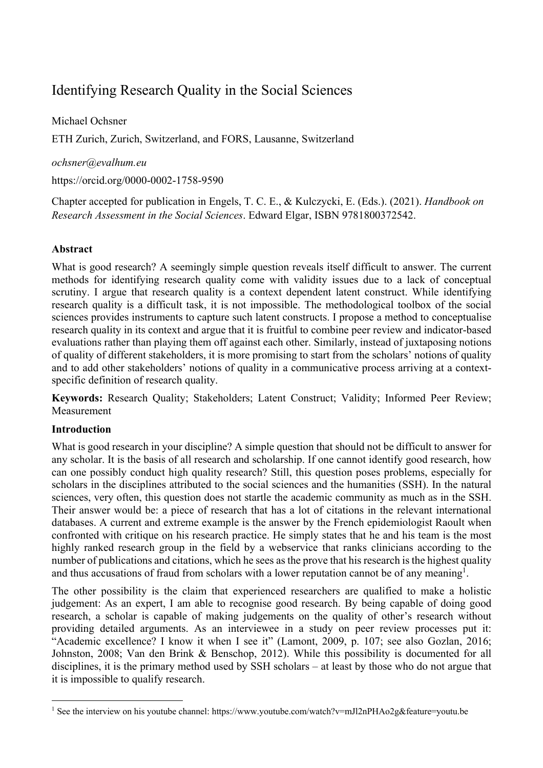# Identifying Research Quality in the Social Sciences

Michael Ochsner ETH Zurich, Zurich, Switzerland, and FORS, Lausanne, Switzerland

### *ochsner@evalhum.eu*

https://orcid.org/0000-0002-1758-9590

Chapter accepted for publication in Engels, T. C. E., & Kulczycki, E. (Eds.). (2021). *Handbook on Research Assessment in the Social Sciences*. Edward Elgar, ISBN 9781800372542.

## **Abstract**

What is good research? A seemingly simple question reveals itself difficult to answer. The current methods for identifying research quality come with validity issues due to a lack of conceptual scrutiny. I argue that research quality is a context dependent latent construct. While identifying research quality is a difficult task, it is not impossible. The methodological toolbox of the social sciences provides instruments to capture such latent constructs. I propose a method to conceptualise research quality in its context and argue that it is fruitful to combine peer review and indicator-based evaluations rather than playing them off against each other. Similarly, instead of juxtaposing notions of quality of different stakeholders, it is more promising to start from the scholars' notions of quality and to add other stakeholders' notions of quality in a communicative process arriving at a contextspecific definition of research quality.

**Keywords:** Research Quality; Stakeholders; Latent Construct; Validity; Informed Peer Review; **Measurement** 

## **Introduction**

What is good research in your discipline? A simple question that should not be difficult to answer for any scholar. It is the basis of all research and scholarship. If one cannot identify good research, how can one possibly conduct high quality research? Still, this question poses problems, especially for scholars in the disciplines attributed to the social sciences and the humanities (SSH). In the natural sciences, very often, this question does not startle the academic community as much as in the SSH. Their answer would be: a piece of research that has a lot of citations in the relevant international databases. A current and extreme example is the answer by the French epidemiologist Raoult when confronted with critique on his research practice. He simply states that he and his team is the most highly ranked research group in the field by a webservice that ranks clinicians according to the number of publications and citations, which he sees as the prove that his research is the highest quality and thus accusations of fraud from scholars with a lower reputation cannot be of any meaning<sup>1</sup>.

The other possibility is the claim that experienced researchers are qualified to make a holistic judgement: As an expert, I am able to recognise good research. By being capable of doing good research, a scholar is capable of making judgements on the quality of other's research without providing detailed arguments. As an interviewee in a study on peer review processes put it: "Academic excellence? I know it when I see it" (Lamont, 2009, p. 107; see also Gozlan, 2016; Johnston, 2008; Van den Brink & Benschop, 2012). While this possibility is documented for all disciplines, it is the primary method used by SSH scholars – at least by those who do not argue that it is impossible to qualify research.

<sup>1</sup> See the interview on his youtube channel: https://www.youtube.com/watch?v=mJl2nPHAo2g&feature=youtu.be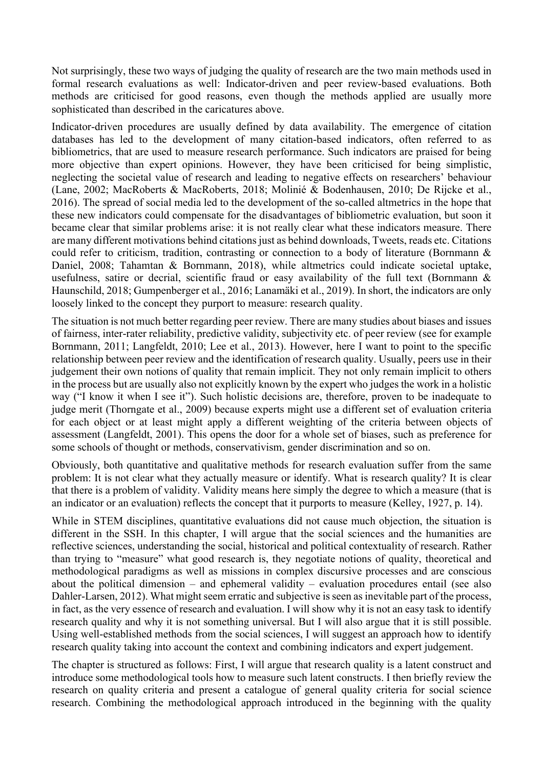Not surprisingly, these two ways of judging the quality of research are the two main methods used in formal research evaluations as well: Indicator-driven and peer review-based evaluations. Both methods are criticised for good reasons, even though the methods applied are usually more sophisticated than described in the caricatures above.

Indicator-driven procedures are usually defined by data availability. The emergence of citation databases has led to the development of many citation-based indicators, often referred to as bibliometrics, that are used to measure research performance. Such indicators are praised for being more objective than expert opinions. However, they have been criticised for being simplistic, neglecting the societal value of research and leading to negative effects on researchers' behaviour (Lane, 2002; MacRoberts & MacRoberts, 2018; Molinié & Bodenhausen, 2010; De Rijcke et al., 2016). The spread of social media led to the development of the so-called altmetrics in the hope that these new indicators could compensate for the disadvantages of bibliometric evaluation, but soon it became clear that similar problems arise: it is not really clear what these indicators measure. There are many different motivations behind citations just as behind downloads, Tweets, reads etc. Citations could refer to criticism, tradition, contrasting or connection to a body of literature (Bornmann & Daniel, 2008; Tahamtan & Bornmann, 2018), while altmetrics could indicate societal uptake, usefulness, satire or decrial, scientific fraud or easy availability of the full text (Bornmann & Haunschild, 2018; Gumpenberger et al., 2016; Lanamäki et al., 2019). In short, the indicators are only loosely linked to the concept they purport to measure: research quality.

The situation is not much better regarding peer review. There are many studies about biases and issues of fairness, inter-rater reliability, predictive validity, subjectivity etc. of peer review (see for example Bornmann, 2011; Langfeldt, 2010; Lee et al., 2013). However, here I want to point to the specific relationship between peer review and the identification of research quality. Usually, peers use in their judgement their own notions of quality that remain implicit. They not only remain implicit to others in the process but are usually also not explicitly known by the expert who judges the work in a holistic way ("I know it when I see it"). Such holistic decisions are, therefore, proven to be inadequate to judge merit (Thorngate et al., 2009) because experts might use a different set of evaluation criteria for each object or at least might apply a different weighting of the criteria between objects of assessment (Langfeldt, 2001). This opens the door for a whole set of biases, such as preference for some schools of thought or methods, conservativism, gender discrimination and so on.

Obviously, both quantitative and qualitative methods for research evaluation suffer from the same problem: It is not clear what they actually measure or identify. What is research quality? It is clear that there is a problem of validity. Validity means here simply the degree to which a measure (that is an indicator or an evaluation) reflects the concept that it purports to measure (Kelley, 1927, p. 14).

While in STEM disciplines, quantitative evaluations did not cause much objection, the situation is different in the SSH. In this chapter, I will argue that the social sciences and the humanities are reflective sciences, understanding the social, historical and political contextuality of research. Rather than trying to "measure" what good research is, they negotiate notions of quality, theoretical and methodological paradigms as well as missions in complex discursive processes and are conscious about the political dimension – and ephemeral validity – evaluation procedures entail (see also Dahler-Larsen, 2012). What might seem erratic and subjective is seen as inevitable part of the process, in fact, as the very essence of research and evaluation. I will show why it is not an easy task to identify research quality and why it is not something universal. But I will also argue that it is still possible. Using well-established methods from the social sciences, I will suggest an approach how to identify research quality taking into account the context and combining indicators and expert judgement.

The chapter is structured as follows: First, I will argue that research quality is a latent construct and introduce some methodological tools how to measure such latent constructs. I then briefly review the research on quality criteria and present a catalogue of general quality criteria for social science research. Combining the methodological approach introduced in the beginning with the quality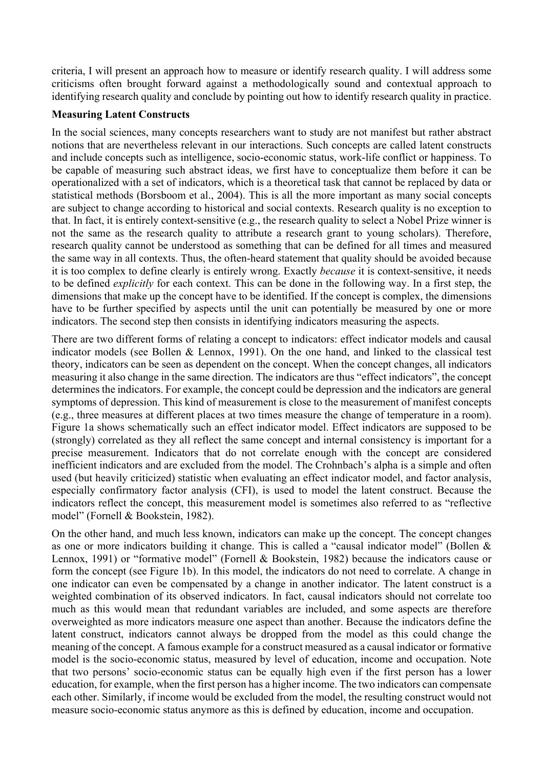criteria, I will present an approach how to measure or identify research quality. I will address some criticisms often brought forward against a methodologically sound and contextual approach to identifying research quality and conclude by pointing out how to identify research quality in practice.

### **Measuring Latent Constructs**

In the social sciences, many concepts researchers want to study are not manifest but rather abstract notions that are nevertheless relevant in our interactions. Such concepts are called latent constructs and include concepts such as intelligence, socio-economic status, work-life conflict or happiness. To be capable of measuring such abstract ideas, we first have to conceptualize them before it can be operationalized with a set of indicators, which is a theoretical task that cannot be replaced by data or statistical methods (Borsboom et al., 2004). This is all the more important as many social concepts are subject to change according to historical and social contexts. Research quality is no exception to that. In fact, it is entirely context-sensitive (e.g., the research quality to select a Nobel Prize winner is not the same as the research quality to attribute a research grant to young scholars). Therefore, research quality cannot be understood as something that can be defined for all times and measured the same way in all contexts. Thus, the often-heard statement that quality should be avoided because it is too complex to define clearly is entirely wrong. Exactly *because* it is context-sensitive, it needs to be defined *explicitly* for each context. This can be done in the following way. In a first step, the dimensions that make up the concept have to be identified. If the concept is complex, the dimensions have to be further specified by aspects until the unit can potentially be measured by one or more indicators. The second step then consists in identifying indicators measuring the aspects.

There are two different forms of relating a concept to indicators: effect indicator models and causal indicator models (see Bollen & Lennox, 1991). On the one hand, and linked to the classical test theory, indicators can be seen as dependent on the concept. When the concept changes, all indicators measuring it also change in the same direction. The indicators are thus "effect indicators", the concept determines the indicators. For example, the concept could be depression and the indicators are general symptoms of depression. This kind of measurement is close to the measurement of manifest concepts (e.g., three measures at different places at two times measure the change of temperature in a room). Figure 1a shows schematically such an effect indicator model. Effect indicators are supposed to be (strongly) correlated as they all reflect the same concept and internal consistency is important for a precise measurement. Indicators that do not correlate enough with the concept are considered inefficient indicators and are excluded from the model. The Crohnbach's alpha is a simple and often used (but heavily criticized) statistic when evaluating an effect indicator model, and factor analysis, especially confirmatory factor analysis (CFI), is used to model the latent construct. Because the indicators reflect the concept, this measurement model is sometimes also referred to as "reflective model" (Fornell & Bookstein, 1982).

On the other hand, and much less known, indicators can make up the concept. The concept changes as one or more indicators building it change. This is called a "causal indicator model" (Bollen & Lennox, 1991) or "formative model" (Fornell & Bookstein, 1982) because the indicators cause or form the concept (see Figure 1b). In this model, the indicators do not need to correlate. A change in one indicator can even be compensated by a change in another indicator. The latent construct is a weighted combination of its observed indicators. In fact, causal indicators should not correlate too much as this would mean that redundant variables are included, and some aspects are therefore overweighted as more indicators measure one aspect than another. Because the indicators define the latent construct, indicators cannot always be dropped from the model as this could change the meaning of the concept. A famous example for a construct measured as a causal indicator or formative model is the socio-economic status, measured by level of education, income and occupation. Note that two persons' socio-economic status can be equally high even if the first person has a lower education, for example, when the first person has a higher income. The two indicators can compensate each other. Similarly, if income would be excluded from the model, the resulting construct would not measure socio-economic status anymore as this is defined by education, income and occupation.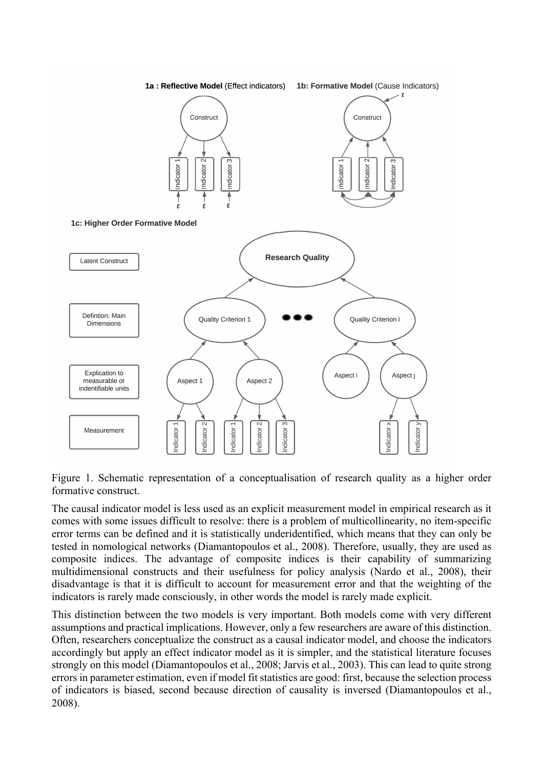

Figure 1. Schematic representation of a conceptualisation of research quality as a higher order formative construct.

The causal indicator model is less used as an explicit measurement model in empirical research as it comes with some issues difficult to resolve: there is a problem of multicollinearity, no item-specific error terms can be defined and it is statistically underidentified, which means that they can only be tested in nomological networks (Diamantopoulos et al., 2008). Therefore, usually, they are used as composite indices. The advantage of composite indices is their capability of summarizing multidimensional constructs and their usefulness for policy analysis (Nardo et al., 2008), their disadvantage is that it is difficult to account for measurement error and that the weighting of the indicators is rarely made consciously, in other words the model is rarely made explicit.

This distinction between the two models is very important. Both models come with very different assumptions and practical implications. However, only a few researchers are aware of this distinction. Often, researchers conceptualize the construct as a causal indicator model, and choose the indicators accordingly but apply an effect indicator model as it is simpler, and the statistical literature focuses strongly on this model (Diamantopoulos et al., 2008; Jarvis et al., 2003). This can lead to quite strong errors in parameter estimation, even if model fit statistics are good: first, because the selection process of indicators is biased, second because direction of causality is inversed (Diamantopoulos et al., 2008).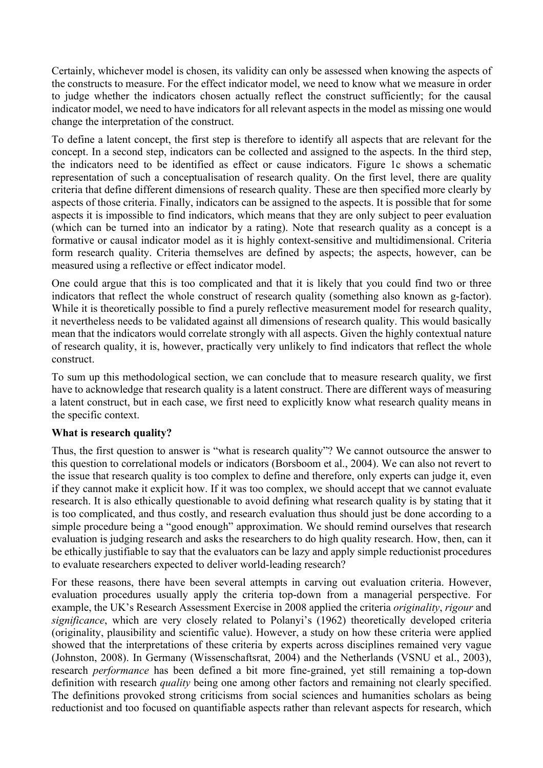Certainly, whichever model is chosen, its validity can only be assessed when knowing the aspects of the constructs to measure. For the effect indicator model, we need to know what we measure in order to judge whether the indicators chosen actually reflect the construct sufficiently; for the causal indicator model, we need to have indicators for all relevant aspects in the model as missing one would change the interpretation of the construct.

To define a latent concept, the first step is therefore to identify all aspects that are relevant for the concept. In a second step, indicators can be collected and assigned to the aspects. In the third step, the indicators need to be identified as effect or cause indicators. Figure 1c shows a schematic representation of such a conceptualisation of research quality. On the first level, there are quality criteria that define different dimensions of research quality. These are then specified more clearly by aspects of those criteria. Finally, indicators can be assigned to the aspects. It is possible that for some aspects it is impossible to find indicators, which means that they are only subject to peer evaluation (which can be turned into an indicator by a rating). Note that research quality as a concept is a formative or causal indicator model as it is highly context-sensitive and multidimensional. Criteria form research quality. Criteria themselves are defined by aspects; the aspects, however, can be measured using a reflective or effect indicator model.

One could argue that this is too complicated and that it is likely that you could find two or three indicators that reflect the whole construct of research quality (something also known as g-factor). While it is theoretically possible to find a purely reflective measurement model for research quality, it nevertheless needs to be validated against all dimensions of research quality. This would basically mean that the indicators would correlate strongly with all aspects. Given the highly contextual nature of research quality, it is, however, practically very unlikely to find indicators that reflect the whole construct.

To sum up this methodological section, we can conclude that to measure research quality, we first have to acknowledge that research quality is a latent construct. There are different ways of measuring a latent construct, but in each case, we first need to explicitly know what research quality means in the specific context.

## **What is research quality?**

Thus, the first question to answer is "what is research quality"? We cannot outsource the answer to this question to correlational models or indicators (Borsboom et al., 2004). We can also not revert to the issue that research quality is too complex to define and therefore, only experts can judge it, even if they cannot make it explicit how. If it was too complex, we should accept that we cannot evaluate research. It is also ethically questionable to avoid defining what research quality is by stating that it is too complicated, and thus costly, and research evaluation thus should just be done according to a simple procedure being a "good enough" approximation. We should remind ourselves that research evaluation is judging research and asks the researchers to do high quality research. How, then, can it be ethically justifiable to say that the evaluators can be lazy and apply simple reductionist procedures to evaluate researchers expected to deliver world-leading research?

For these reasons, there have been several attempts in carving out evaluation criteria. However, evaluation procedures usually apply the criteria top-down from a managerial perspective. For example, the UK's Research Assessment Exercise in 2008 applied the criteria *originality*, *rigour* and *significance*, which are very closely related to Polanyi's (1962) theoretically developed criteria (originality, plausibility and scientific value). However, a study on how these criteria were applied showed that the interpretations of these criteria by experts across disciplines remained very vague (Johnston, 2008). In Germany (Wissenschaftsrat, 2004) and the Netherlands (VSNU et al., 2003), research *performance* has been defined a bit more fine-grained, yet still remaining a top-down definition with research *quality* being one among other factors and remaining not clearly specified. The definitions provoked strong criticisms from social sciences and humanities scholars as being reductionist and too focused on quantifiable aspects rather than relevant aspects for research, which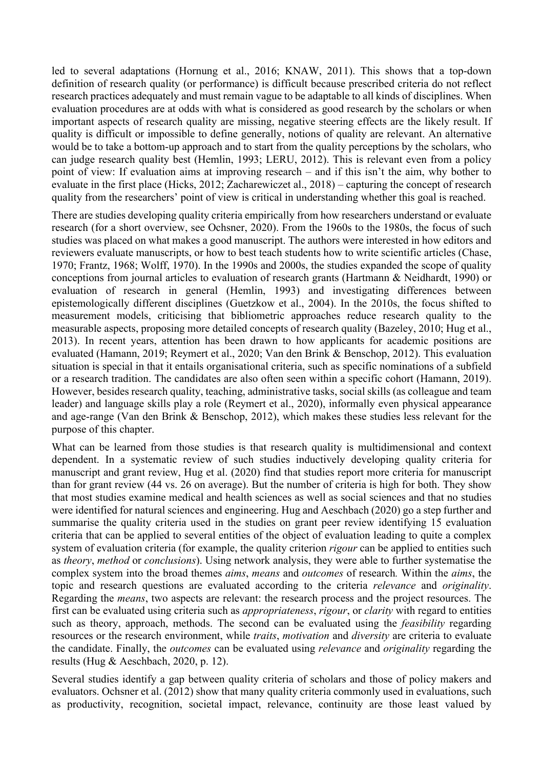led to several adaptations (Hornung et al., 2016; KNAW, 2011). This shows that a top-down definition of research quality (or performance) is difficult because prescribed criteria do not reflect research practices adequately and must remain vague to be adaptable to all kinds of disciplines. When evaluation procedures are at odds with what is considered as good research by the scholars or when important aspects of research quality are missing, negative steering effects are the likely result. If quality is difficult or impossible to define generally, notions of quality are relevant. An alternative would be to take a bottom-up approach and to start from the quality perceptions by the scholars, who can judge research quality best (Hemlin, 1993; LERU, 2012). This is relevant even from a policy point of view: If evaluation aims at improving research – and if this isn't the aim, why bother to evaluate in the first place (Hicks, 2012; Zacharewiczet al., 2018) – capturing the concept of research quality from the researchers' point of view is critical in understanding whether this goal is reached.

There are studies developing quality criteria empirically from how researchers understand or evaluate research (for a short overview, see Ochsner, 2020). From the 1960s to the 1980s, the focus of such studies was placed on what makes a good manuscript. The authors were interested in how editors and reviewers evaluate manuscripts, or how to best teach students how to write scientific articles (Chase, 1970; Frantz, 1968; Wolff, 1970). In the 1990s and 2000s, the studies expanded the scope of quality conceptions from journal articles to evaluation of research grants (Hartmann & Neidhardt, 1990) or evaluation of research in general (Hemlin, 1993) and investigating differences between epistemologically different disciplines (Guetzkow et al., 2004). In the 2010s, the focus shifted to measurement models, criticising that bibliometric approaches reduce research quality to the measurable aspects, proposing more detailed concepts of research quality (Bazeley, 2010; Hug et al., 2013). In recent years, attention has been drawn to how applicants for academic positions are evaluated (Hamann, 2019; Reymert et al., 2020; Van den Brink & Benschop, 2012). This evaluation situation is special in that it entails organisational criteria, such as specific nominations of a subfield or a research tradition. The candidates are also often seen within a specific cohort (Hamann, 2019). However, besides research quality, teaching, administrative tasks, social skills (as colleague and team leader) and language skills play a role (Reymert et al., 2020), informally even physical appearance and age-range (Van den Brink & Benschop, 2012), which makes these studies less relevant for the purpose of this chapter.

What can be learned from those studies is that research quality is multidimensional and context dependent. In a systematic review of such studies inductively developing quality criteria for manuscript and grant review, Hug et al. (2020) find that studies report more criteria for manuscript than for grant review (44 vs. 26 on average). But the number of criteria is high for both. They show that most studies examine medical and health sciences as well as social sciences and that no studies were identified for natural sciences and engineering. Hug and Aeschbach (2020) go a step further and summarise the quality criteria used in the studies on grant peer review identifying 15 evaluation criteria that can be applied to several entities of the object of evaluation leading to quite a complex system of evaluation criteria (for example, the quality criterion *rigour* can be applied to entities such as *theory*, *method* or *conclusions*). Using network analysis, they were able to further systematise the complex system into the broad themes *aims*, *means* and *outcomes* of research*.* Within the *aims*, the topic and research questions are evaluated according to the criteria *relevance* and *originality*. Regarding the *means*, two aspects are relevant: the research process and the project resources. The first can be evaluated using criteria such as *appropriateness*, *rigour*, or *clarity* with regard to entities such as theory, approach, methods. The second can be evaluated using the *feasibility* regarding resources or the research environment, while *traits*, *motivation* and *diversity* are criteria to evaluate the candidate. Finally, the *outcomes* can be evaluated using *relevance* and *originality* regarding the results (Hug & Aeschbach, 2020, p. 12).

Several studies identify a gap between quality criteria of scholars and those of policy makers and evaluators. Ochsner et al. (2012) show that many quality criteria commonly used in evaluations, such as productivity, recognition, societal impact, relevance, continuity are those least valued by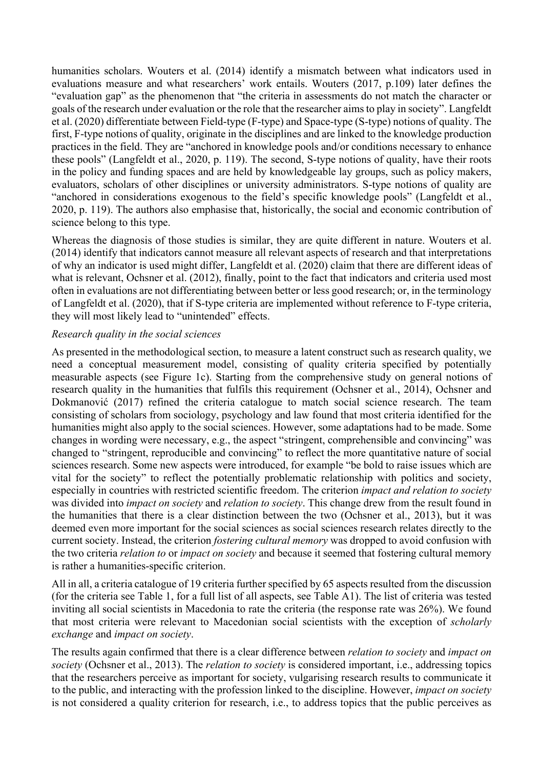humanities scholars. Wouters et al. (2014) identify a mismatch between what indicators used in evaluations measure and what researchers' work entails. Wouters (2017, p.109) later defines the "evaluation gap" as the phenomenon that "the criteria in assessments do not match the character or goals of the research under evaluation or the role that the researcher aims to play in society". Langfeldt et al. (2020) differentiate between Field-type (F-type) and Space-type (S-type) notions of quality. The first, F-type notions of quality, originate in the disciplines and are linked to the knowledge production practices in the field. They are "anchored in knowledge pools and/or conditions necessary to enhance these pools" (Langfeldt et al., 2020, p. 119). The second, S-type notions of quality, have their roots in the policy and funding spaces and are held by knowledgeable lay groups, such as policy makers, evaluators, scholars of other disciplines or university administrators. S-type notions of quality are "anchored in considerations exogenous to the field's specific knowledge pools" (Langfeldt et al., 2020, p. 119). The authors also emphasise that, historically, the social and economic contribution of science belong to this type.

Whereas the diagnosis of those studies is similar, they are quite different in nature. Wouters et al. (2014) identify that indicators cannot measure all relevant aspects of research and that interpretations of why an indicator is used might differ, Langfeldt et al. (2020) claim that there are different ideas of what is relevant, Ochsner et al. (2012), finally, point to the fact that indicators and criteria used most often in evaluations are not differentiating between better or less good research; or, in the terminology of Langfeldt et al. (2020), that if S-type criteria are implemented without reference to F-type criteria, they will most likely lead to "unintended" effects.

#### *Research quality in the social sciences*

As presented in the methodological section, to measure a latent construct such as research quality, we need a conceptual measurement model, consisting of quality criteria specified by potentially measurable aspects (see Figure 1c). Starting from the comprehensive study on general notions of research quality in the humanities that fulfils this requirement (Ochsner et al., 2014), Ochsner and Dokmanović (2017) refined the criteria catalogue to match social science research. The team consisting of scholars from sociology, psychology and law found that most criteria identified for the humanities might also apply to the social sciences. However, some adaptations had to be made. Some changes in wording were necessary, e.g., the aspect "stringent, comprehensible and convincing" was changed to "stringent, reproducible and convincing" to reflect the more quantitative nature of social sciences research. Some new aspects were introduced, for example "be bold to raise issues which are vital for the society" to reflect the potentially problematic relationship with politics and society, especially in countries with restricted scientific freedom. The criterion *impact and relation to society* was divided into *impact on society* and *relation to society*. This change drew from the result found in the humanities that there is a clear distinction between the two (Ochsner et al., 2013), but it was deemed even more important for the social sciences as social sciences research relates directly to the current society. Instead, the criterion *fostering cultural memory* was dropped to avoid confusion with the two criteria *relation to* or *impact on society* and because it seemed that fostering cultural memory is rather a humanities-specific criterion.

All in all, a criteria catalogue of 19 criteria further specified by 65 aspects resulted from the discussion (for the criteria see Table 1, for a full list of all aspects, see Table A1). The list of criteria was tested inviting all social scientists in Macedonia to rate the criteria (the response rate was 26%). We found that most criteria were relevant to Macedonian social scientists with the exception of *scholarly exchange* and *impact on society*.

The results again confirmed that there is a clear difference between *relation to society* and *impact on society* (Ochsner et al., 2013). The *relation to society* is considered important, i.e., addressing topics that the researchers perceive as important for society, vulgarising research results to communicate it to the public, and interacting with the profession linked to the discipline. However, *impact on society* is not considered a quality criterion for research, i.e., to address topics that the public perceives as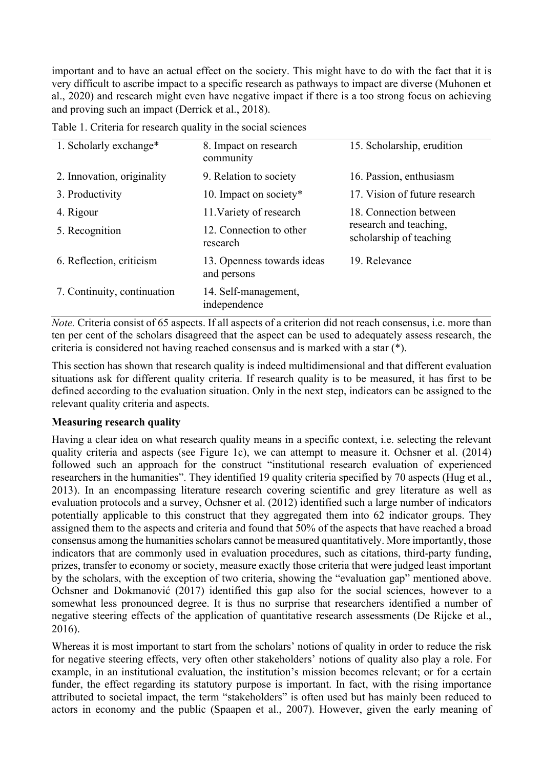important and to have an actual effect on the society. This might have to do with the fact that it is very difficult to ascribe impact to a specific research as pathways to impact are diverse (Muhonen et al., 2020) and research might even have negative impact if there is a too strong focus on achieving and proving such an impact (Derrick et al., 2018).

| 1. Scholarly exchange*      | 8. Impact on research<br>community        | 15. Scholarship, erudition                        |
|-----------------------------|-------------------------------------------|---------------------------------------------------|
| 2. Innovation, originality  | 9. Relation to society                    | 16. Passion, enthusiasm                           |
| 3. Productivity             | 10. Impact on society*                    | 17. Vision of future research                     |
| 4. Rigour                   | 11. Variety of research                   | 18. Connection between                            |
| 5. Recognition              | 12. Connection to other<br>research       | research and teaching,<br>scholarship of teaching |
| 6. Reflection, criticism    | 13. Openness towards ideas<br>and persons | 19. Relevance                                     |
| 7. Continuity, continuation | 14. Self-management,<br>independence      |                                                   |

Table 1. Criteria for research quality in the social sciences

*Note.* Criteria consist of 65 aspects. If all aspects of a criterion did not reach consensus, i.e. more than ten per cent of the scholars disagreed that the aspect can be used to adequately assess research, the criteria is considered not having reached consensus and is marked with a star (\*).

This section has shown that research quality is indeed multidimensional and that different evaluation situations ask for different quality criteria. If research quality is to be measured, it has first to be defined according to the evaluation situation. Only in the next step, indicators can be assigned to the relevant quality criteria and aspects.

#### **Measuring research quality**

Having a clear idea on what research quality means in a specific context, i.e. selecting the relevant quality criteria and aspects (see Figure 1c), we can attempt to measure it. Ochsner et al. (2014) followed such an approach for the construct "institutional research evaluation of experienced researchers in the humanities". They identified 19 quality criteria specified by 70 aspects (Hug et al., 2013). In an encompassing literature research covering scientific and grey literature as well as evaluation protocols and a survey, Ochsner et al. (2012) identified such a large number of indicators potentially applicable to this construct that they aggregated them into 62 indicator groups. They assigned them to the aspects and criteria and found that 50% of the aspects that have reached a broad consensus among the humanities scholars cannot be measured quantitatively. More importantly, those indicators that are commonly used in evaluation procedures, such as citations, third-party funding, prizes, transfer to economy or society, measure exactly those criteria that were judged least important by the scholars, with the exception of two criteria, showing the "evaluation gap" mentioned above. Ochsner and Dokmanović (2017) identified this gap also for the social sciences, however to a somewhat less pronounced degree. It is thus no surprise that researchers identified a number of negative steering effects of the application of quantitative research assessments (De Rijcke et al., 2016).

Whereas it is most important to start from the scholars' notions of quality in order to reduce the risk for negative steering effects, very often other stakeholders' notions of quality also play a role. For example, in an institutional evaluation, the institution's mission becomes relevant; or for a certain funder, the effect regarding its statutory purpose is important. In fact, with the rising importance attributed to societal impact, the term "stakeholders" is often used but has mainly been reduced to actors in economy and the public (Spaapen et al., 2007). However, given the early meaning of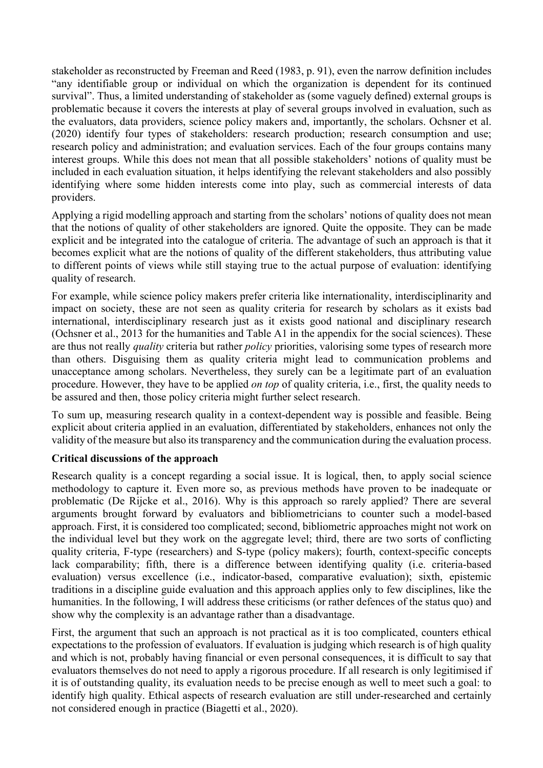stakeholder as reconstructed by Freeman and Reed (1983, p. 91), even the narrow definition includes "any identifiable group or individual on which the organization is dependent for its continued survival". Thus, a limited understanding of stakeholder as (some vaguely defined) external groups is problematic because it covers the interests at play of several groups involved in evaluation, such as the evaluators, data providers, science policy makers and, importantly, the scholars. Ochsner et al. (2020) identify four types of stakeholders: research production; research consumption and use; research policy and administration; and evaluation services. Each of the four groups contains many interest groups. While this does not mean that all possible stakeholders' notions of quality must be included in each evaluation situation, it helps identifying the relevant stakeholders and also possibly identifying where some hidden interests come into play, such as commercial interests of data providers.

Applying a rigid modelling approach and starting from the scholars' notions of quality does not mean that the notions of quality of other stakeholders are ignored. Quite the opposite. They can be made explicit and be integrated into the catalogue of criteria. The advantage of such an approach is that it becomes explicit what are the notions of quality of the different stakeholders, thus attributing value to different points of views while still staying true to the actual purpose of evaluation: identifying quality of research.

For example, while science policy makers prefer criteria like internationality, interdisciplinarity and impact on society, these are not seen as quality criteria for research by scholars as it exists bad international, interdisciplinary research just as it exists good national and disciplinary research (Ochsner et al., 2013 for the humanities and Table A1 in the appendix for the social sciences). These are thus not really *quality* criteria but rather *policy* priorities, valorising some types of research more than others. Disguising them as quality criteria might lead to communication problems and unacceptance among scholars. Nevertheless, they surely can be a legitimate part of an evaluation procedure. However, they have to be applied *on top* of quality criteria, i.e., first, the quality needs to be assured and then, those policy criteria might further select research.

To sum up, measuring research quality in a context-dependent way is possible and feasible. Being explicit about criteria applied in an evaluation, differentiated by stakeholders, enhances not only the validity of the measure but also its transparency and the communication during the evaluation process.

## **Critical discussions of the approach**

Research quality is a concept regarding a social issue. It is logical, then, to apply social science methodology to capture it. Even more so, as previous methods have proven to be inadequate or problematic (De Rijcke et al., 2016). Why is this approach so rarely applied? There are several arguments brought forward by evaluators and bibliometricians to counter such a model-based approach. First, it is considered too complicated; second, bibliometric approaches might not work on the individual level but they work on the aggregate level; third, there are two sorts of conflicting quality criteria, F-type (researchers) and S-type (policy makers); fourth, context-specific concepts lack comparability; fifth, there is a difference between identifying quality (i.e. criteria-based evaluation) versus excellence (i.e., indicator-based, comparative evaluation); sixth, epistemic traditions in a discipline guide evaluation and this approach applies only to few disciplines, like the humanities. In the following, I will address these criticisms (or rather defences of the status quo) and show why the complexity is an advantage rather than a disadvantage.

First, the argument that such an approach is not practical as it is too complicated, counters ethical expectations to the profession of evaluators. If evaluation is judging which research is of high quality and which is not, probably having financial or even personal consequences, it is difficult to say that evaluators themselves do not need to apply a rigorous procedure. If all research is only legitimised if it is of outstanding quality, its evaluation needs to be precise enough as well to meet such a goal: to identify high quality. Ethical aspects of research evaluation are still under-researched and certainly not considered enough in practice (Biagetti et al., 2020).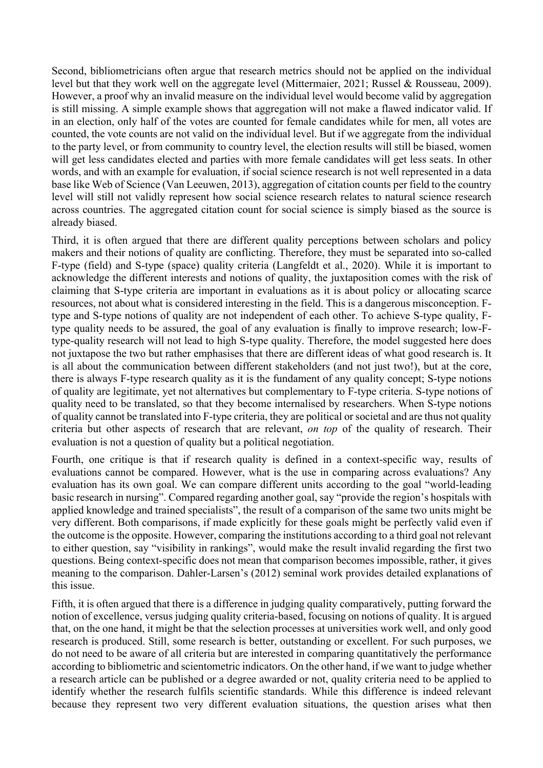Second, bibliometricians often argue that research metrics should not be applied on the individual level but that they work well on the aggregate level (Mittermaier, 2021; Russel & Rousseau, 2009). However, a proof why an invalid measure on the individual level would become valid by aggregation is still missing. A simple example shows that aggregation will not make a flawed indicator valid. If in an election, only half of the votes are counted for female candidates while for men, all votes are counted, the vote counts are not valid on the individual level. But if we aggregate from the individual to the party level, or from community to country level, the election results will still be biased, women will get less candidates elected and parties with more female candidates will get less seats. In other words, and with an example for evaluation, if social science research is not well represented in a data base like Web of Science (Van Leeuwen, 2013), aggregation of citation counts per field to the country level will still not validly represent how social science research relates to natural science research across countries. The aggregated citation count for social science is simply biased as the source is already biased.

Third, it is often argued that there are different quality perceptions between scholars and policy makers and their notions of quality are conflicting. Therefore, they must be separated into so-called F-type (field) and S-type (space) quality criteria (Langfeldt et al., 2020). While it is important to acknowledge the different interests and notions of quality, the juxtaposition comes with the risk of claiming that S-type criteria are important in evaluations as it is about policy or allocating scarce resources, not about what is considered interesting in the field. This is a dangerous misconception. Ftype and S-type notions of quality are not independent of each other. To achieve S-type quality, Ftype quality needs to be assured, the goal of any evaluation is finally to improve research; low-Ftype-quality research will not lead to high S-type quality. Therefore, the model suggested here does not juxtapose the two but rather emphasises that there are different ideas of what good research is. It is all about the communication between different stakeholders (and not just two!), but at the core, there is always F-type research quality as it is the fundament of any quality concept; S-type notions of quality are legitimate, yet not alternatives but complementary to F-type criteria. S-type notions of quality need to be translated, so that they become internalised by researchers. When S-type notions of quality cannot be translated into F-type criteria, they are political or societal and are thus not quality criteria but other aspects of research that are relevant, *on top* of the quality of research. Their evaluation is not a question of quality but a political negotiation.

Fourth, one critique is that if research quality is defined in a context-specific way, results of evaluations cannot be compared. However, what is the use in comparing across evaluations? Any evaluation has its own goal. We can compare different units according to the goal "world-leading basic research in nursing". Compared regarding another goal, say "provide the region's hospitals with applied knowledge and trained specialists", the result of a comparison of the same two units might be very different. Both comparisons, if made explicitly for these goals might be perfectly valid even if the outcome is the opposite. However, comparing the institutions according to a third goal not relevant to either question, say "visibility in rankings", would make the result invalid regarding the first two questions. Being context-specific does not mean that comparison becomes impossible, rather, it gives meaning to the comparison. Dahler-Larsen's (2012) seminal work provides detailed explanations of this issue.

Fifth, it is often argued that there is a difference in judging quality comparatively, putting forward the notion of excellence, versus judging quality criteria-based, focusing on notions of quality. It is argued that, on the one hand, it might be that the selection processes at universities work well, and only good research is produced. Still, some research is better, outstanding or excellent. For such purposes, we do not need to be aware of all criteria but are interested in comparing quantitatively the performance according to bibliometric and scientometric indicators. On the other hand, if we want to judge whether a research article can be published or a degree awarded or not, quality criteria need to be applied to identify whether the research fulfils scientific standards. While this difference is indeed relevant because they represent two very different evaluation situations, the question arises what then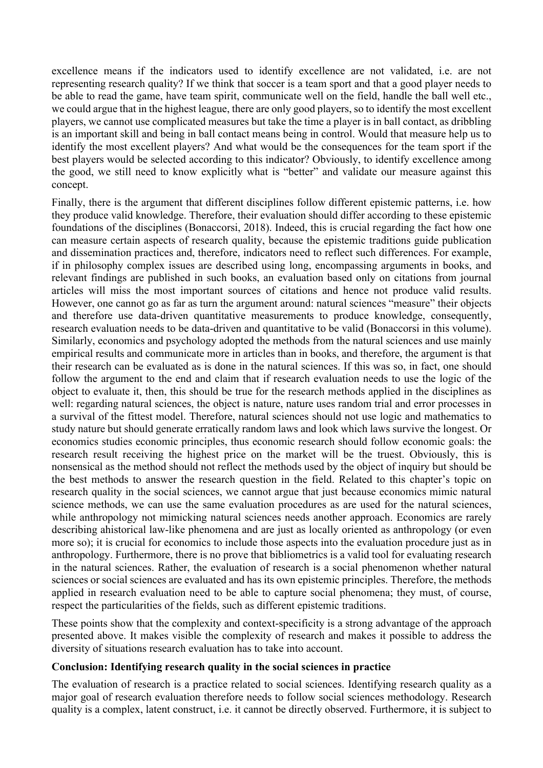excellence means if the indicators used to identify excellence are not validated, i.e. are not representing research quality? If we think that soccer is a team sport and that a good player needs to be able to read the game, have team spirit, communicate well on the field, handle the ball well etc., we could argue that in the highest league, there are only good players, so to identify the most excellent players, we cannot use complicated measures but take the time a player is in ball contact, as dribbling is an important skill and being in ball contact means being in control. Would that measure help us to identify the most excellent players? And what would be the consequences for the team sport if the best players would be selected according to this indicator? Obviously, to identify excellence among the good, we still need to know explicitly what is "better" and validate our measure against this concept.

Finally, there is the argument that different disciplines follow different epistemic patterns, i.e. how they produce valid knowledge. Therefore, their evaluation should differ according to these epistemic foundations of the disciplines (Bonaccorsi, 2018). Indeed, this is crucial regarding the fact how one can measure certain aspects of research quality, because the epistemic traditions guide publication and dissemination practices and, therefore, indicators need to reflect such differences. For example, if in philosophy complex issues are described using long, encompassing arguments in books, and relevant findings are published in such books, an evaluation based only on citations from journal articles will miss the most important sources of citations and hence not produce valid results. However, one cannot go as far as turn the argument around: natural sciences "measure" their objects and therefore use data-driven quantitative measurements to produce knowledge, consequently, research evaluation needs to be data-driven and quantitative to be valid (Bonaccorsi in this volume). Similarly, economics and psychology adopted the methods from the natural sciences and use mainly empirical results and communicate more in articles than in books, and therefore, the argument is that their research can be evaluated as is done in the natural sciences. If this was so, in fact, one should follow the argument to the end and claim that if research evaluation needs to use the logic of the object to evaluate it, then, this should be true for the research methods applied in the disciplines as well: regarding natural sciences, the object is nature, nature uses random trial and error processes in a survival of the fittest model. Therefore, natural sciences should not use logic and mathematics to study nature but should generate erratically random laws and look which laws survive the longest. Or economics studies economic principles, thus economic research should follow economic goals: the research result receiving the highest price on the market will be the truest. Obviously, this is nonsensical as the method should not reflect the methods used by the object of inquiry but should be the best methods to answer the research question in the field. Related to this chapter's topic on research quality in the social sciences, we cannot argue that just because economics mimic natural science methods, we can use the same evaluation procedures as are used for the natural sciences, while anthropology not mimicking natural sciences needs another approach. Economics are rarely describing ahistorical law-like phenomena and are just as locally oriented as anthropology (or even more so); it is crucial for economics to include those aspects into the evaluation procedure just as in anthropology. Furthermore, there is no prove that bibliometrics is a valid tool for evaluating research in the natural sciences. Rather, the evaluation of research is a social phenomenon whether natural sciences or social sciences are evaluated and has its own epistemic principles. Therefore, the methods applied in research evaluation need to be able to capture social phenomena; they must, of course, respect the particularities of the fields, such as different epistemic traditions.

These points show that the complexity and context-specificity is a strong advantage of the approach presented above. It makes visible the complexity of research and makes it possible to address the diversity of situations research evaluation has to take into account.

#### **Conclusion: Identifying research quality in the social sciences in practice**

The evaluation of research is a practice related to social sciences. Identifying research quality as a major goal of research evaluation therefore needs to follow social sciences methodology. Research quality is a complex, latent construct, i.e. it cannot be directly observed. Furthermore, it is subject to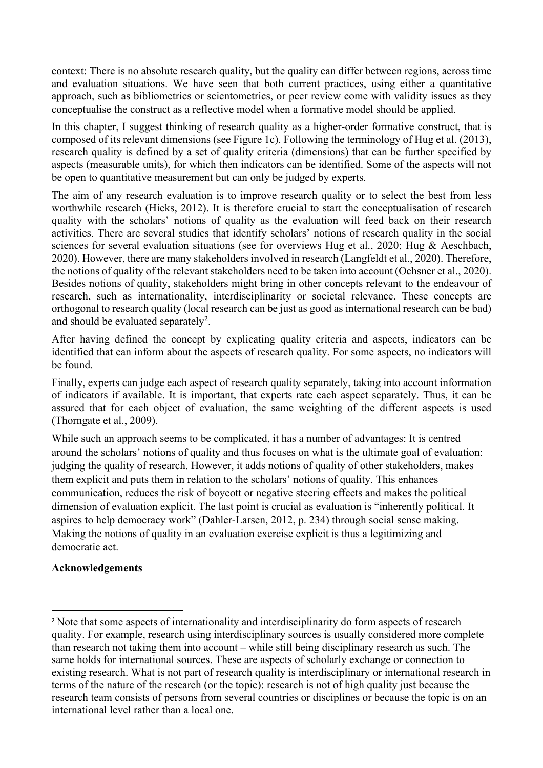context: There is no absolute research quality, but the quality can differ between regions, across time and evaluation situations. We have seen that both current practices, using either a quantitative approach, such as bibliometrics or scientometrics, or peer review come with validity issues as they conceptualise the construct as a reflective model when a formative model should be applied.

In this chapter, I suggest thinking of research quality as a higher-order formative construct, that is composed of its relevant dimensions (see Figure 1c). Following the terminology of Hug et al. (2013), research quality is defined by a set of quality criteria (dimensions) that can be further specified by aspects (measurable units), for which then indicators can be identified. Some of the aspects will not be open to quantitative measurement but can only be judged by experts.

The aim of any research evaluation is to improve research quality or to select the best from less worthwhile research (Hicks, 2012). It is therefore crucial to start the conceptualisation of research quality with the scholars' notions of quality as the evaluation will feed back on their research activities. There are several studies that identify scholars' notions of research quality in the social sciences for several evaluation situations (see for overviews Hug et al., 2020; Hug & Aeschbach, 2020). However, there are many stakeholders involved in research (Langfeldt et al., 2020). Therefore, the notions of quality of the relevant stakeholders need to be taken into account (Ochsner et al., 2020). Besides notions of quality, stakeholders might bring in other concepts relevant to the endeavour of research, such as internationality, interdisciplinarity or societal relevance. These concepts are orthogonal to research quality (local research can be just as good as international research can be bad) and should be evaluated separately<sup>2</sup>.

After having defined the concept by explicating quality criteria and aspects, indicators can be identified that can inform about the aspects of research quality. For some aspects, no indicators will be found.

Finally, experts can judge each aspect of research quality separately, taking into account information of indicators if available. It is important, that experts rate each aspect separately. Thus, it can be assured that for each object of evaluation, the same weighting of the different aspects is used (Thorngate et al., 2009).

While such an approach seems to be complicated, it has a number of advantages: It is centred around the scholars' notions of quality and thus focuses on what is the ultimate goal of evaluation: judging the quality of research. However, it adds notions of quality of other stakeholders, makes them explicit and puts them in relation to the scholars' notions of quality. This enhances communication, reduces the risk of boycott or negative steering effects and makes the political dimension of evaluation explicit. The last point is crucial as evaluation is "inherently political. It aspires to help democracy work" (Dahler-Larsen, 2012, p. 234) through social sense making. Making the notions of quality in an evaluation exercise explicit is thus a legitimizing and democratic act.

## **Acknowledgements**

<sup>&</sup>lt;sup>2</sup> Note that some aspects of internationality and interdisciplinarity do form aspects of research quality. For example, research using interdisciplinary sources is usually considered more complete than research not taking them into account – while still being disciplinary research as such. The same holds for international sources. These are aspects of scholarly exchange or connection to existing research. What is not part of research quality is interdisciplinary or international research in terms of the nature of the research (or the topic): research is not of high quality just because the research team consists of persons from several countries or disciplines or because the topic is on an international level rather than a local one.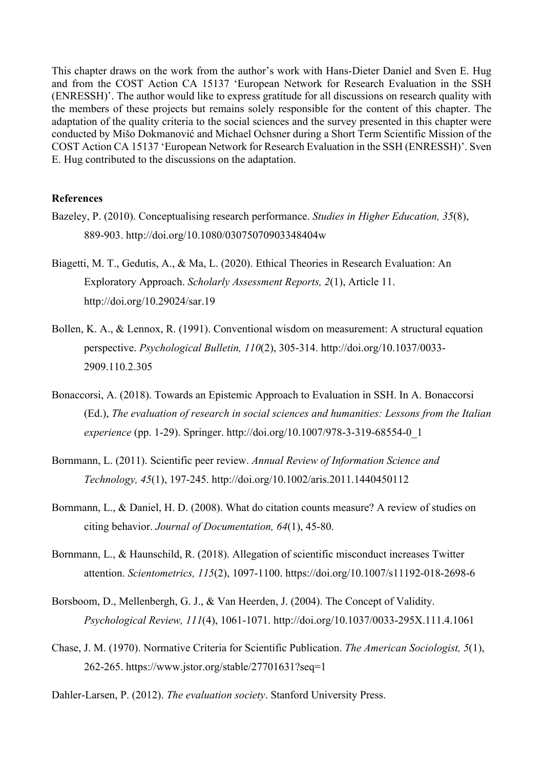This chapter draws on the work from the author's work with Hans-Dieter Daniel and Sven E. Hug and from the COST Action CA 15137 'European Network for Research Evaluation in the SSH (ENRESSH)'. The author would like to express gratitude for all discussions on research quality with the members of these projects but remains solely responsible for the content of this chapter. The adaptation of the quality criteria to the social sciences and the survey presented in this chapter were conducted by Mišo Dokmanović and Michael Ochsner during a Short Term Scientific Mission of the COST Action CA 15137 'European Network for Research Evaluation in the SSH (ENRESSH)'. Sven E. Hug contributed to the discussions on the adaptation.

#### **References**

- Bazeley, P. (2010). Conceptualising research performance. *Studies in Higher Education, 35*(8), 889-903. http://doi.org/10.1080/03075070903348404w
- Biagetti, M. T., Gedutis, A., & Ma, L. (2020). Ethical Theories in Research Evaluation: An Exploratory Approach. *Scholarly Assessment Reports, 2*(1), Article 11. http://doi.org/10.29024/sar.19
- Bollen, K. A., & Lennox, R. (1991). Conventional wisdom on measurement: A structural equation perspective. *Psychological Bulletin, 110*(2), 305-314. http://doi.org/10.1037/0033- 2909.110.2.305
- Bonaccorsi, A. (2018). Towards an Epistemic Approach to Evaluation in SSH. In A. Bonaccorsi (Ed.), *The evaluation of research in social sciences and humanities: Lessons from the Italian experience* (pp. 1-29). Springer. http://doi.org/10.1007/978-3-319-68554-0\_1
- Bornmann, L. (2011). Scientific peer review. *Annual Review of Information Science and Technology, 45*(1), 197-245. http://doi.org/10.1002/aris.2011.1440450112
- Bornmann, L., & Daniel, H. D. (2008). What do citation counts measure? A review of studies on citing behavior. *Journal of Documentation, 64*(1), 45-80.
- Bornmann, L., & Haunschild, R. (2018). Allegation of scientific misconduct increases Twitter attention. *Scientometrics, 115*(2), 1097-1100. https://doi.org/10.1007/s11192-018-2698-6
- Borsboom, D., Mellenbergh, G. J., & Van Heerden, J. (2004). The Concept of Validity. *Psychological Review, 111*(4), 1061-1071. http://doi.org/10.1037/0033-295X.111.4.1061
- Chase, J. M. (1970). Normative Criteria for Scientific Publication. *The American Sociologist, 5*(1), 262-265. https://www.jstor.org/stable/27701631?seq=1

Dahler-Larsen, P. (2012). *The evaluation society*. Stanford University Press.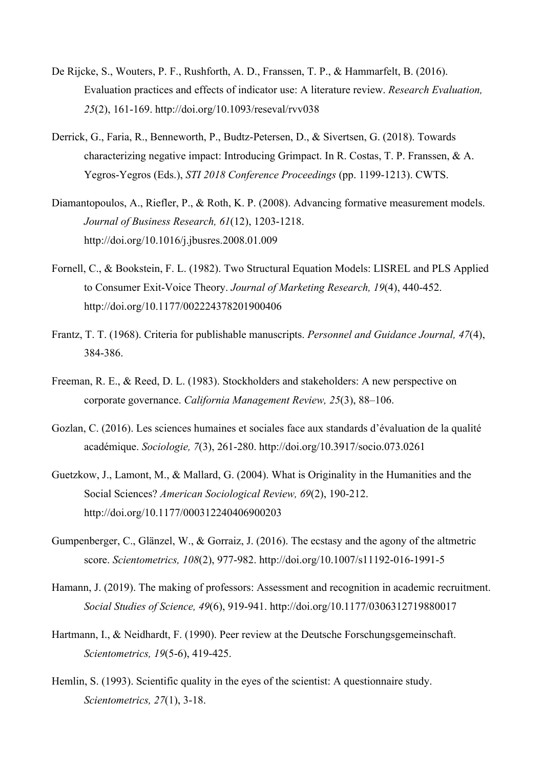- De Rijcke, S., Wouters, P. F., Rushforth, A. D., Franssen, T. P., & Hammarfelt, B. (2016). Evaluation practices and effects of indicator use: A literature review. *Research Evaluation, 25*(2), 161-169. http://doi.org/10.1093/reseval/rvv038
- Derrick, G., Faria, R., Benneworth, P., Budtz-Petersen, D., & Sivertsen, G. (2018). Towards characterizing negative impact: Introducing Grimpact. In R. Costas, T. P. Franssen, & A. Yegros-Yegros (Eds.), *STI 2018 Conference Proceedings* (pp. 1199-1213). CWTS.
- Diamantopoulos, A., Riefler, P., & Roth, K. P. (2008). Advancing formative measurement models. *Journal of Business Research, 61*(12), 1203-1218. http://doi.org/10.1016/j.jbusres.2008.01.009
- Fornell, C., & Bookstein, F. L. (1982). Two Structural Equation Models: LISREL and PLS Applied to Consumer Exit-Voice Theory. *Journal of Marketing Research, 19*(4), 440-452. http://doi.org/10.1177/002224378201900406
- Frantz, T. T. (1968). Criteria for publishable manuscripts. *Personnel and Guidance Journal, 47*(4), 384-386.
- Freeman, R. E., & Reed, D. L. (1983). Stockholders and stakeholders: A new perspective on corporate governance. *California Management Review, 25*(3), 88–106.
- Gozlan, C. (2016). Les sciences humaines et sociales face aux standards d'évaluation de la qualité académique. *Sociologie, 7*(3), 261-280. http://doi.org/10.3917/socio.073.0261
- Guetzkow, J., Lamont, M., & Mallard, G. (2004). What is Originality in the Humanities and the Social Sciences? *American Sociological Review, 69*(2), 190-212. http://doi.org/10.1177/000312240406900203
- Gumpenberger, C., Glänzel, W., & Gorraiz, J. (2016). The ecstasy and the agony of the altmetric score. *Scientometrics, 108*(2), 977-982. http://doi.org/10.1007/s11192-016-1991-5
- Hamann, J. (2019). The making of professors: Assessment and recognition in academic recruitment. *Social Studies of Science, 49*(6), 919-941. http://doi.org/10.1177/0306312719880017
- Hartmann, I., & Neidhardt, F. (1990). Peer review at the Deutsche Forschungsgemeinschaft. *Scientometrics, 19*(5-6), 419-425.
- Hemlin, S. (1993). Scientific quality in the eyes of the scientist: A questionnaire study. *Scientometrics, 27*(1), 3-18.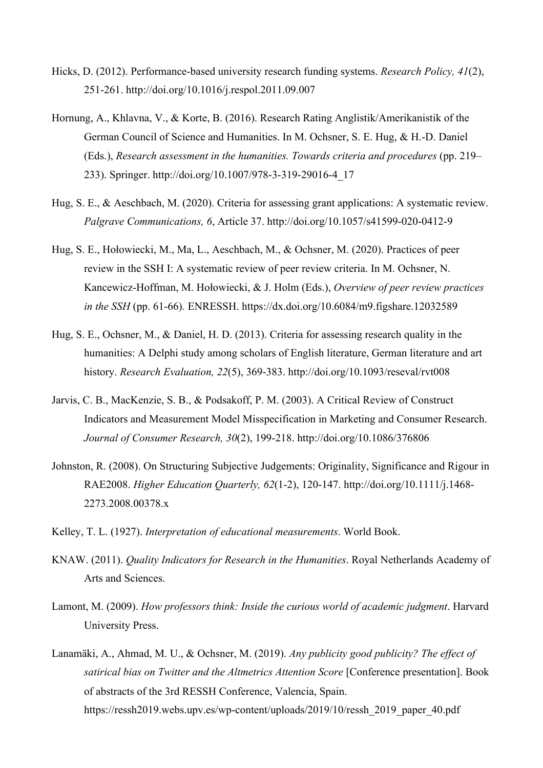- Hicks, D. (2012). Performance-based university research funding systems. *Research Policy, 41*(2), 251-261. http://doi.org/10.1016/j.respol.2011.09.007
- Hornung, A., Khlavna, V., & Korte, B. (2016). Research Rating Anglistik/Amerikanistik of the German Council of Science and Humanities. In M. Ochsner, S. E. Hug, & H.-D. Daniel (Eds.), *Research assessment in the humanities. Towards criteria and procedures* (pp. 219– 233). Springer. http://doi.org/10.1007/978-3-319-29016-4\_17
- Hug, S. E., & Aeschbach, M. (2020). Criteria for assessing grant applications: A systematic review. *Palgrave Communications, 6*, Article 37. http://doi.org/10.1057/s41599-020-0412-9
- Hug, S. E., Hołowiecki, M., Ma, L., Aeschbach, M., & Ochsner, M. (2020). Practices of peer review in the SSH I: A systematic review of peer review criteria. In M. Ochsner, N. Kancewicz-Hoffman, M. Hołowiecki, & J. Holm (Eds.), *Overview of peer review practices in the SSH* (pp. 61-66)*.* ENRESSH. https://dx.doi.org/10.6084/m9.figshare.12032589
- Hug, S. E., Ochsner, M., & Daniel, H. D. (2013). Criteria for assessing research quality in the humanities: A Delphi study among scholars of English literature, German literature and art history. *Research Evaluation, 22*(5), 369-383. http://doi.org/10.1093/reseval/rvt008
- Jarvis, C. B., MacKenzie, S. B., & Podsakoff, P. M. (2003). A Critical Review of Construct Indicators and Measurement Model Misspecification in Marketing and Consumer Research. *Journal of Consumer Research, 30*(2), 199-218. http://doi.org/10.1086/376806
- Johnston, R. (2008). On Structuring Subjective Judgements: Originality, Significance and Rigour in RAE2008. *Higher Education Quarterly, 62*(1-2), 120-147. http://doi.org/10.1111/j.1468- 2273.2008.00378.x
- Kelley, T. L. (1927). *Interpretation of educational measurements*. World Book.
- KNAW. (2011). *Quality Indicators for Research in the Humanities*. Royal Netherlands Academy of Arts and Sciences.
- Lamont, M. (2009). *How professors think: Inside the curious world of academic judgment*. Harvard University Press.
- Lanamäki, A., Ahmad, M. U., & Ochsner, M. (2019). *Any publicity good publicity? The effect of satirical bias on Twitter and the Altmetrics Attention Score* [Conference presentation]. Book of abstracts of the 3rd RESSH Conference, Valencia, Spain. https://ressh2019.webs.upv.es/wp-content/uploads/2019/10/ressh\_2019\_paper\_40.pdf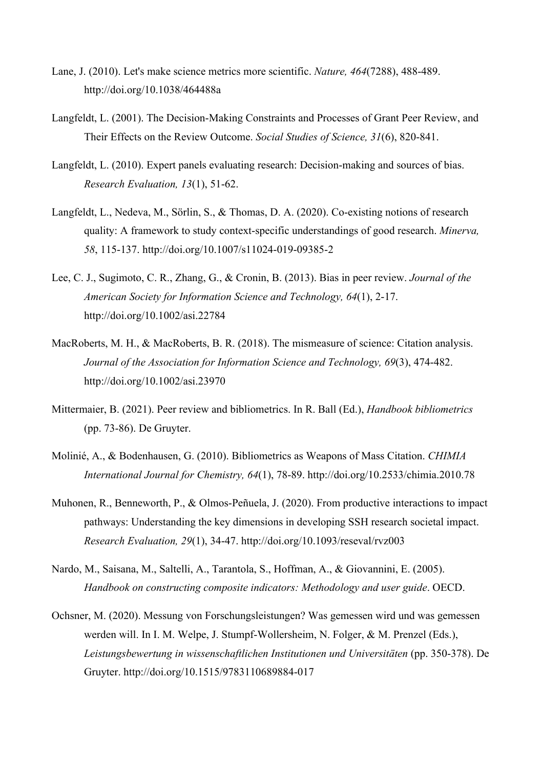- Lane, J. (2010). Let's make science metrics more scientific. *Nature, 464*(7288), 488-489. http://doi.org/10.1038/464488a
- Langfeldt, L. (2001). The Decision-Making Constraints and Processes of Grant Peer Review, and Their Effects on the Review Outcome. *Social Studies of Science, 31*(6), 820-841.
- Langfeldt, L. (2010). Expert panels evaluating research: Decision-making and sources of bias. *Research Evaluation, 13*(1), 51-62.
- Langfeldt, L., Nedeva, M., Sörlin, S., & Thomas, D. A. (2020). Co-existing notions of research quality: A framework to study context-specific understandings of good research. *Minerva, 58*, 115-137. http://doi.org/10.1007/s11024-019-09385-2
- Lee, C. J., Sugimoto, C. R., Zhang, G., & Cronin, B. (2013). Bias in peer review. *Journal of the American Society for Information Science and Technology, 64*(1), 2-17. http://doi.org/10.1002/asi.22784
- MacRoberts, M. H., & MacRoberts, B. R. (2018). The mismeasure of science: Citation analysis. *Journal of the Association for Information Science and Technology, 69*(3), 474-482. http://doi.org/10.1002/asi.23970
- Mittermaier, B. (2021). Peer review and bibliometrics. In R. Ball (Ed.), *Handbook bibliometrics* (pp. 73-86). De Gruyter.
- Molinié, A., & Bodenhausen, G. (2010). Bibliometrics as Weapons of Mass Citation. *CHIMIA International Journal for Chemistry, 64*(1), 78-89. http://doi.org/10.2533/chimia.2010.78
- Muhonen, R., Benneworth, P., & Olmos-Peñuela, J. (2020). From productive interactions to impact pathways: Understanding the key dimensions in developing SSH research societal impact. *Research Evaluation, 29*(1), 34-47. http://doi.org/10.1093/reseval/rvz003
- Nardo, M., Saisana, M., Saltelli, A., Tarantola, S., Hoffman, A., & Giovannini, E. (2005). *Handbook on constructing composite indicators: Methodology and user guide*. OECD.
- Ochsner, M. (2020). Messung von Forschungsleistungen? Was gemessen wird und was gemessen werden will. In I. M. Welpe, J. Stumpf-Wollersheim, N. Folger, & M. Prenzel (Eds.), *Leistungsbewertung in wissenschaftlichen Institutionen und Universitäten* (pp. 350-378). De Gruyter. http://doi.org/10.1515/9783110689884-017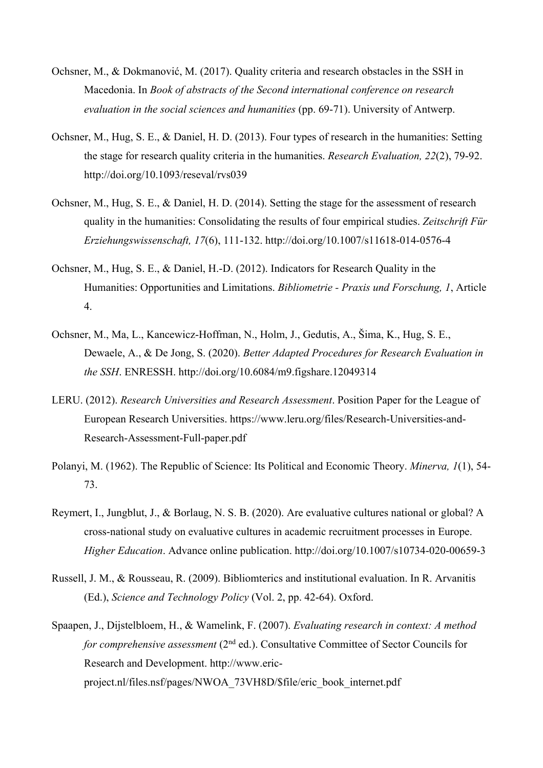- Ochsner, M., & Dokmanović, M. (2017). Quality criteria and research obstacles in the SSH in Macedonia. In *Book of abstracts of the Second international conference on research evaluation in the social sciences and humanities* (pp. 69-71). University of Antwerp.
- Ochsner, M., Hug, S. E., & Daniel, H. D. (2013). Four types of research in the humanities: Setting the stage for research quality criteria in the humanities. *Research Evaluation, 22*(2), 79-92. http://doi.org/10.1093/reseval/rvs039
- Ochsner, M., Hug, S. E., & Daniel, H. D. (2014). Setting the stage for the assessment of research quality in the humanities: Consolidating the results of four empirical studies. *Zeitschrift Für Erziehungswissenschaft, 17*(6), 111-132. http://doi.org/10.1007/s11618-014-0576-4
- Ochsner, M., Hug, S. E., & Daniel, H.-D. (2012). Indicators for Research Quality in the Humanities: Opportunities and Limitations. *Bibliometrie - Praxis und Forschung, 1*, Article 4.
- Ochsner, M., Ma, L., Kancewicz-Hoffman, N., Holm, J., Gedutis, A., Šima, K., Hug, S. E., Dewaele, A., & De Jong, S. (2020). *Better Adapted Procedures for Research Evaluation in the SSH*. ENRESSH. http://doi.org/10.6084/m9.figshare.12049314
- LERU. (2012). *Research Universities and Research Assessment*. Position Paper for the League of European Research Universities. https://www.leru.org/files/Research-Universities-and-Research-Assessment-Full-paper.pdf
- Polanyi, M. (1962). The Republic of Science: Its Political and Economic Theory. *Minerva, 1*(1), 54- 73.
- Reymert, I., Jungblut, J., & Borlaug, N. S. B. (2020). Are evaluative cultures national or global? A cross-national study on evaluative cultures in academic recruitment processes in Europe. *Higher Education*. Advance online publication. http://doi.org/10.1007/s10734-020-00659-3
- Russell, J. M., & Rousseau, R. (2009). Bibliomterics and institutional evaluation. In R. Arvanitis (Ed.), *Science and Technology Policy* (Vol. 2, pp. 42-64). Oxford.
- Spaapen, J., Dijstelbloem, H., & Wamelink, F. (2007). *Evaluating research in context: A method for comprehensive assessment* (2<sup>nd</sup> ed.). Consultative Committee of Sector Councils for Research and Development. http://www.ericproject.nl/files.nsf/pages/NWOA\_73VH8D/\$file/eric\_book\_internet.pdf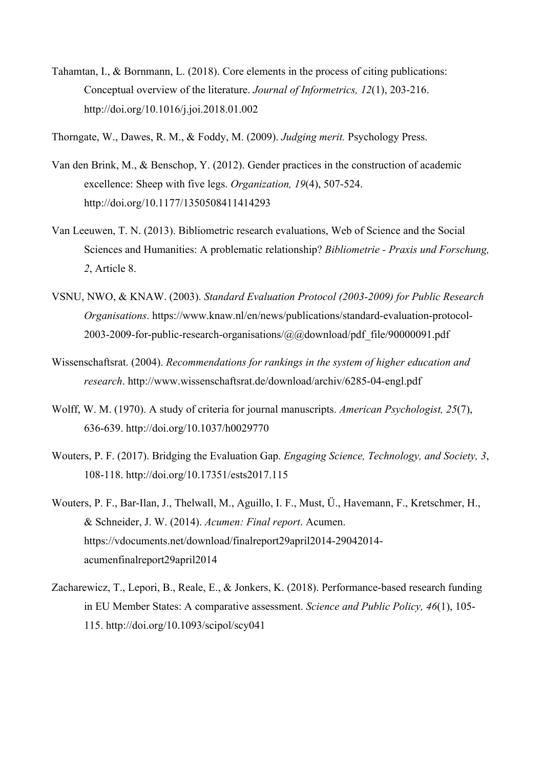- Tahamtan, I., & Bornmann, L. (2018). Core elements in the process of citing publications: Conceptual overview of the literature. *Journal of Informetrics, 12*(1), 203-216. http://doi.org/10.1016/j.joi.2018.01.002
- Thorngate, W., Dawes, R. M., & Foddy, M. (2009). *Judging merit.* Psychology Press.
- Van den Brink, M., & Benschop, Y. (2012). Gender practices in the construction of academic excellence: Sheep with five legs. *Organization, 19*(4), 507-524. http://doi.org/10.1177/1350508411414293
- Van Leeuwen, T. N. (2013). Bibliometric research evaluations, Web of Science and the Social Sciences and Humanities: A problematic relationship? *Bibliometrie - Praxis und Forschung, 2*, Article 8.
- VSNU, NWO, & KNAW. (2003). *Standard Evaluation Protocol (2003-2009) for Public Research Organisations*. https://www.knaw.nl/en/news/publications/standard-evaluation-protocol-2003-2009-for-public-research-organisations/@@download/pdf\_file/90000091.pdf
- Wissenschaftsrat. (2004). *Recommendations for rankings in the system of higher education and research*. http://www.wissenschaftsrat.de/download/archiv/6285-04-engl.pdf
- Wolff, W. M. (1970). A study of criteria for journal manuscripts. *American Psychologist, 25*(7), 636-639. http://doi.org/10.1037/h0029770
- Wouters, P. F. (2017). Bridging the Evaluation Gap. *Engaging Science, Technology, and Society, 3*, 108-118. http://doi.org/10.17351/ests2017.115
- Wouters, P. F., Bar-Ilan, J., Thelwall, M., Aguillo, I. F., Must, Ü., Havemann, F., Kretschmer, H., & Schneider, J. W. (2014). *Acumen: Final report*. Acumen. https://vdocuments.net/download/finalreport29april2014-29042014 acumenfinalreport29april2014
- Zacharewicz, T., Lepori, B., Reale, E., & Jonkers, K. (2018). Performance-based research funding in EU Member States: A comparative assessment. *Science and Public Policy, 46*(1), 105- 115. http://doi.org/10.1093/scipol/scy041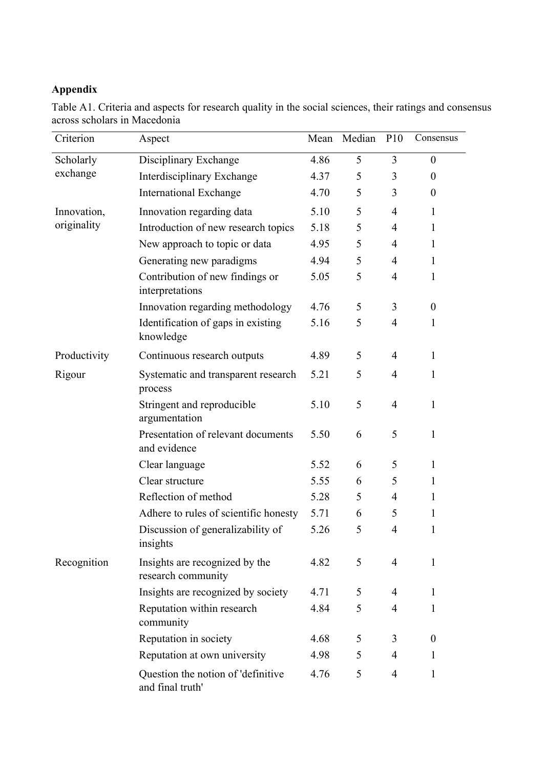# **Appendix**

|  |                              | Table A1. Criteria and aspects for research quality in the social sciences, their ratings and consensus |  |  |  |  |
|--|------------------------------|---------------------------------------------------------------------------------------------------------|--|--|--|--|
|  | across scholars in Macedonia |                                                                                                         |  |  |  |  |

| Criterion    | Aspect                                                 | Mean | Median | P10            | Consensus        |
|--------------|--------------------------------------------------------|------|--------|----------------|------------------|
| Scholarly    | Disciplinary Exchange                                  | 4.86 | 5      | 3              | $\boldsymbol{0}$ |
| exchange     | Interdisciplinary Exchange                             | 4.37 | 5      | 3              | $\overline{0}$   |
|              | <b>International Exchange</b>                          | 4.70 | 5      | 3              | $\theta$         |
| Innovation,  | Innovation regarding data                              | 5.10 | 5      | $\overline{4}$ | 1                |
| originality  | Introduction of new research topics                    | 5.18 | 5      | $\overline{4}$ | 1                |
|              | New approach to topic or data                          | 4.95 | 5      | $\overline{4}$ | 1                |
|              | Generating new paradigms                               | 4.94 | 5      | $\overline{4}$ | 1                |
|              | Contribution of new findings or<br>interpretations     | 5.05 | 5      | $\overline{4}$ | 1                |
|              | Innovation regarding methodology                       | 4.76 | 5      | 3              | $\boldsymbol{0}$ |
|              | Identification of gaps in existing<br>knowledge        | 5.16 | 5      | $\overline{4}$ | 1                |
| Productivity | Continuous research outputs                            | 4.89 | 5      | $\overline{4}$ | $\mathbf{1}$     |
| Rigour       | Systematic and transparent research<br>process         | 5.21 | 5      | $\overline{4}$ | 1                |
|              | Stringent and reproducible<br>argumentation            | 5.10 | 5      | $\overline{4}$ | $\mathbf{1}$     |
|              | Presentation of relevant documents<br>and evidence     | 5.50 | 6      | 5              | $\mathbf{1}$     |
|              | Clear language                                         | 5.52 | 6      | 5              | $\mathbf{1}$     |
|              | Clear structure                                        | 5.55 | 6      | 5              | 1                |
|              | Reflection of method                                   | 5.28 | 5      | $\overline{4}$ | 1                |
|              | Adhere to rules of scientific honesty                  | 5.71 | 6      | 5              | $\mathbf{1}$     |
|              | Discussion of generalizability of<br>insights          | 5.26 | 5      | $\overline{4}$ | 1                |
| Recognition  | Insights are recognized by the<br>research community   | 4.82 | 5      | $\overline{4}$ | $\mathbf{1}$     |
|              | Insights are recognized by society                     | 4.71 | 5      | 4              | $\mathbf{1}$     |
|              | Reputation within research<br>community                | 4.84 | 5      | 4              | $\mathbf{1}$     |
|              | Reputation in society                                  | 4.68 | 5      | 3              | $\boldsymbol{0}$ |
|              | Reputation at own university                           | 4.98 | 5      | $\overline{4}$ | 1                |
|              | Question the notion of 'definitive<br>and final truth' | 4.76 | 5      | $\overline{4}$ | $\mathbf{1}$     |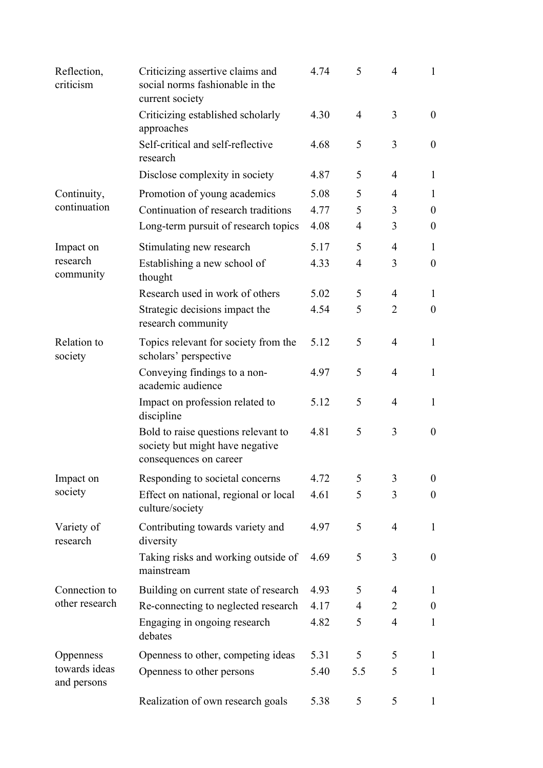| Reflection,<br>criticism     | Criticizing assertive claims and<br>social norms fashionable in the<br>current society           | 4.74 | 5              | $\overline{4}$ | 1                |
|------------------------------|--------------------------------------------------------------------------------------------------|------|----------------|----------------|------------------|
|                              | Criticizing established scholarly<br>approaches                                                  | 4.30 | $\overline{4}$ | 3              | $\theta$         |
|                              | Self-critical and self-reflective<br>research                                                    | 4.68 | 5              | 3              | $\theta$         |
|                              | Disclose complexity in society                                                                   | 4.87 | 5              | 4              | 1                |
| Continuity,                  | Promotion of young academics                                                                     | 5.08 | 5              | 4              | 1                |
| continuation                 | Continuation of research traditions                                                              | 4.77 | 5              | 3              | $\theta$         |
|                              | Long-term pursuit of research topics                                                             | 4.08 | $\overline{4}$ | 3              | $\theta$         |
| Impact on                    | Stimulating new research                                                                         | 5.17 | 5              | $\overline{4}$ | 1                |
| research<br>community        | Establishing a new school of<br>thought                                                          | 4.33 | 4              | 3              | $\theta$         |
|                              | Research used in work of others                                                                  | 5.02 | 5              | 4              | 1                |
|                              | Strategic decisions impact the<br>research community                                             | 4.54 | 5              | 2              | $\theta$         |
| Relation to<br>society       | Topics relevant for society from the<br>scholars' perspective                                    | 5.12 | 5              | 4              | 1                |
|                              | Conveying findings to a non-<br>academic audience                                                | 4.97 | 5              | $\overline{4}$ | 1                |
|                              | Impact on profession related to<br>discipline                                                    | 5.12 | 5              | $\overline{4}$ | 1                |
|                              | Bold to raise questions relevant to<br>society but might have negative<br>consequences on career | 4.81 | 5              | 3              | $\overline{0}$   |
| Impact on                    | Responding to societal concerns                                                                  | 4.72 | 5              | 3              | $\theta$         |
| society                      | Effect on national, regional or local<br>culture/society                                         | 4.61 | 5              | 3              | $\boldsymbol{0}$ |
| Variety of<br>research       | Contributing towards variety and<br>diversity                                                    | 4.97 | 5              | $\overline{4}$ | 1                |
|                              | Taking risks and working outside of<br>mainstream                                                | 4.69 | 5              | 3              | $\theta$         |
| Connection to                | Building on current state of research                                                            | 4.93 | 5              | 4              | 1                |
| other research               | Re-connecting to neglected research                                                              | 4.17 | 4              | 2              | $\boldsymbol{0}$ |
|                              | Engaging in ongoing research<br>debates                                                          | 4.82 | 5              | $\overline{4}$ | $\mathbf{1}$     |
| Oppenness                    | Openness to other, competing ideas                                                               | 5.31 | 5              | 5              | $\mathbf{1}$     |
| towards ideas<br>and persons | Openness to other persons                                                                        | 5.40 | 5.5            | 5              | $\mathbf{1}$     |
|                              | Realization of own research goals                                                                | 5.38 | 5              | 5              | $\mathbf{1}$     |